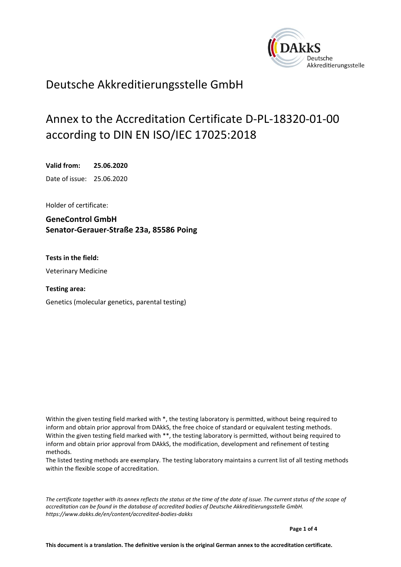<span id="page-0-0"></span>

# Deutsche Akkreditierungsstelle GmbH

# Annex to the Accreditation Certificate D-PL-18320-01-00 according to DIN EN ISO/IEC 17025:2018

<span id="page-0-1"></span>**Valid from: 25.06.2020**

<span id="page-0-2"></span>Date of issue: 25.06.2020

Holder of certificate:

**GeneControl GmbH Senator-Gerauer-Straße 23a, 85586 Poing**

**Tests in the field:**

Veterinary Medicine

**Testing area:**

Genetics (molecular genetics, parental testing)

Within the given testing field marked with \*, the testing laboratory is permitted, without being required to inform and obtain prior approval from DAkkS, the free choice of standard or equivalent testing methods. Within the given testing field marked with \*\*, the testing laboratory is permitted, without being required to inform and obtain prior approval from DAkkS, the modification, development and refinement of testing methods.

The listed testing methods are exemplary. The testing laboratory maintains a current list of all testing methods within the flexible scope of accreditation.

*The certificate together with its annex reflects the status at the time of the date of issue. The current status of the scope of accreditation can be found in the database of accredited bodies of Deutsche Akkreditierungsstelle GmbH. <https://www.dakks.de/en/content/accredited-bodies-dakks>*

**Page 1 of 4**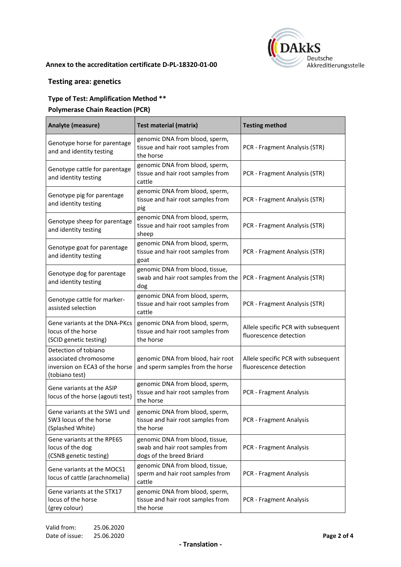

#### **Annex to the accreditation certificate [D-PL-18320-01-00](#page-0-0)**

## **Testing area: genetics**

## **Type of Test: Amplification Method \*\***

#### **Polymerase Chain Reaction (PCR)**

| Analyte (measure)                                                                                 | <b>Test material (matrix)</b>                                                                  | <b>Testing method</b>                                         |
|---------------------------------------------------------------------------------------------------|------------------------------------------------------------------------------------------------|---------------------------------------------------------------|
| Genotype horse for parentage<br>and and identity testing                                          | genomic DNA from blood, sperm,<br>tissue and hair root samples from<br>the horse               | PCR - Fragment Analysis (STR)                                 |
| Genotype cattle for parentage<br>and identity testing                                             | genomic DNA from blood, sperm,<br>tissue and hair root samples from<br>cattle                  | PCR - Fragment Analysis (STR)                                 |
| Genotype pig for parentage<br>and identity testing                                                | genomic DNA from blood, sperm,<br>tissue and hair root samples from<br>pig                     | PCR - Fragment Analysis (STR)                                 |
| Genotype sheep for parentage<br>and identity testing                                              | genomic DNA from blood, sperm,<br>tissue and hair root samples from<br>sheep                   | PCR - Fragment Analysis (STR)                                 |
| Genotype goat for parentage<br>and identity testing                                               | genomic DNA from blood, sperm,<br>tissue and hair root samples from<br>goat                    | PCR - Fragment Analysis (STR)                                 |
| Genotype dog for parentage<br>and identity testing                                                | genomic DNA from blood, tissue,<br>swab and hair root samples from the<br>dog                  | PCR - Fragment Analysis (STR)                                 |
| Genotype cattle for marker-<br>assisted selection                                                 | genomic DNA from blood, sperm,<br>tissue and hair root samples from<br>cattle                  | PCR - Fragment Analysis (STR)                                 |
| Gene variants at the DNA-PKcs<br>locus of the horse<br>(SCID genetic testing)                     | genomic DNA from blood, sperm,<br>tissue and hair root samples from<br>the horse               | Allele specific PCR with subsequent<br>fluorescence detection |
| Detection of tobiano<br>associated chromosome<br>inversion on ECA3 of the horse<br>(tobiano test) | genomic DNA from blood, hair root<br>and sperm samples from the horse                          | Allele specific PCR with subsequent<br>fluorescence detection |
| Gene variants at the ASIP<br>locus of the horse (agouti test)                                     | genomic DNA from blood, sperm,<br>tissue and hair root samples from<br>the horse               | PCR - Fragment Analysis                                       |
| Gene variants at the SW1 und<br>SW3 locus of the horse<br>(Splashed White)                        | genomic DNA from blood, sperm,<br>tissue and hair root samples from<br>the horse               | PCR - Fragment Analysis                                       |
| Gene variants at the RPE65<br>locus of the dog<br>(CSNB genetic testing)                          | genomic DNA from blood, tissue,<br>swab and hair root samples from<br>dogs of the breed Briard | PCR - Fragment Analysis                                       |
| Gene variants at the MOCS1<br>locus of cattle (arachnomelia)                                      | genomic DNA from blood, tissue,<br>sperm and hair root samples from<br>cattle                  | <b>PCR - Fragment Analysis</b>                                |
| Gene variants at the STX17<br>locus of the horse<br>(grey colour)                                 | genomic DNA from blood, sperm,<br>tissue and hair root samples from<br>the horse               | PCR - Fragment Analysis                                       |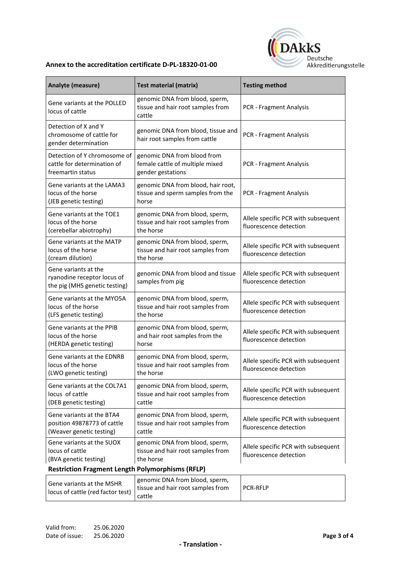

#### **Annex to the accreditation certificate [D-PL-18320-01-00](#page-0-0)**

| Analyte (measure)                                                                    | <b>Test material (matrix)</b>                                                       | <b>Testing method</b>                                         |
|--------------------------------------------------------------------------------------|-------------------------------------------------------------------------------------|---------------------------------------------------------------|
| Gene variants at the POLLED<br>locus of cattle                                       | genomic DNA from blood, sperm,<br>tissue and hair root samples from<br>cattle       | PCR - Fragment Analysis                                       |
| Detection of X and Y<br>chromosome of cattle for<br>gender determination             | genomic DNA from blood, tissue and<br>hair root samples from cattle                 | PCR - Fragment Analysis                                       |
| Detection of Y chromosome of<br>cattle for determination of<br>freemartin status     | genomic DNA from blood from<br>female cattle of multiple mixed<br>gender gestations | PCR - Fragment Analysis                                       |
| Gene variants at the LAMA3<br>locus of the horse<br>(JEB genetic testing)            | genomic DNA from blood, hair root,<br>tissue and sperm samples from the<br>horse    | PCR - Fragment Analysis                                       |
| Gene variants at the TOE1<br>locus of the horse<br>(cerebellar abiotrophy)           | genomic DNA from blood, sperm,<br>tissue and hair root samples from<br>the horse    | Allele specific PCR with subsequent<br>fluorescence detection |
| Gene variants at the MATP<br>locus of the horse<br>(cream dilution)                  | genomic DNA from blood, sperm,<br>tissue and hair root samples from<br>the horse    | Allele specific PCR with subsequent<br>fluorescence detection |
| Gene variants at the<br>ryanodine receptor locus of<br>the pig (MHS genetic testing) | genomic DNA from blood and tissue<br>samples from pig                               | Allele specific PCR with subsequent<br>fluorescence detection |
| Gene variants at the MYO5A<br>locus of the horse<br>(LFS genetic testing)            | genomic DNA from blood, sperm,<br>tissue and hair root samples from<br>the horse    | Allele specific PCR with subsequent<br>fluorescence detection |
| Gene variants at the PPIB<br>locus of the horse<br>(HERDA genetic testing)           | genomic DNA from blood, sperm,<br>and hair root samples from the<br>horse           | Allele specific PCR with subsequent<br>fluorescence detection |
| Gene variants at the EDNRB<br>locus of the horse<br>(LWO genetic testing)            | genomic DNA from blood, sperm,<br>tissue and hair root samples from<br>the horse    | Allele specific PCR with subsequent<br>fluorescence detection |
| Gene variants at the COL7A1<br>locus of cattle<br>(DEB genetic testing)              | genomic DNA from blood, sperm,<br>tissue and hair root samples from<br>cattle       | Allele specific PCR with subsequent<br>fluorescence detection |
| Gene variants at the BTA4<br>position 49878773 of cattle<br>(Weaver genetic testing) | genomic DNA from blood, sperm,<br>tissue and hair root samples from<br>cattle       | Allele specific PCR with subsequent<br>fluorescence detection |
| Gene variants at the SUOX<br>locus of cattle<br>(BVA genetic testing)                | genomic DNA from blood, sperm,<br>tissue and hair root samples from<br>the horse    | Allele specific PCR with subsequent<br>fluorescence detection |
| <b>Restriction Fragment Length Polymorphisms (RFLP)</b>                              |                                                                                     |                                                               |
| Gene variants at the MSHR<br>locus of cattle (red factor test)                       | genomic DNA from blood, sperm,<br>tissue and hair root samples from                 | <b>PCR-RFLP</b>                                               |

cattle